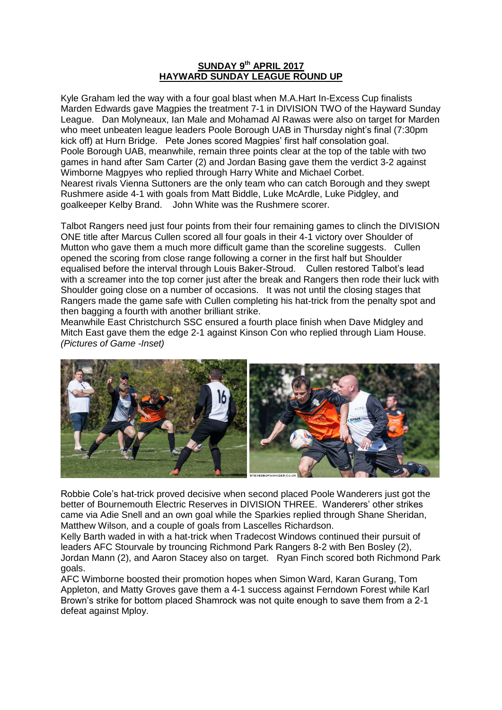## **SUNDAY 9th APRIL 2017 HAYWARD SUNDAY LEAGUE ROUND UP**

Kyle Graham led the way with a four goal blast when M.A.Hart In-Excess Cup finalists Marden Edwards gave Magpies the treatment 7-1 in DIVISION TWO of the Hayward Sunday League. Dan Molyneaux, Ian Male and Mohamad Al Rawas were also on target for Marden who meet unbeaten league leaders Poole Borough UAB in Thursday night's final (7:30pm kick off) at Hurn Bridge. Pete Jones scored Magpies' first half consolation goal. Poole Borough UAB, meanwhile, remain three points clear at the top of the table with two games in hand after Sam Carter (2) and Jordan Basing gave them the verdict 3-2 against Wimborne Magpyes who replied through Harry White and Michael Corbet. Nearest rivals Vienna Suttoners are the only team who can catch Borough and they swept Rushmere aside 4-1 with goals from Matt Biddle, Luke McArdle, Luke Pidgley, and goalkeeper Kelby Brand. John White was the Rushmere scorer.

Talbot Rangers need just four points from their four remaining games to clinch the DIVISION ONE title after Marcus Cullen scored all four goals in their 4-1 victory over Shoulder of Mutton who gave them a much more difficult game than the scoreline suggests. Cullen opened the scoring from close range following a corner in the first half but Shoulder equalised before the interval through Louis Baker-Stroud. Cullen restored Talbot's lead with a screamer into the top corner just after the break and Rangers then rode their luck with Shoulder going close on a number of occasions. It was not until the closing stages that Rangers made the game safe with Cullen completing his hat-trick from the penalty spot and then bagging a fourth with another brilliant strike.

Meanwhile East Christchurch SSC ensured a fourth place finish when Dave Midgley and Mitch East gave them the edge 2-1 against Kinson Con who replied through Liam House. *(Pictures of Game -Inset)*



Robbie Cole's hat-trick proved decisive when second placed Poole Wanderers just got the better of Bournemouth Electric Reserves in DIVISION THREE. Wanderers' other strikes came via Adie Snell and an own goal while the Sparkies replied through Shane Sheridan, Matthew Wilson, and a couple of goals from Lascelles Richardson.

Kelly Barth waded in with a hat-trick when Tradecost Windows continued their pursuit of leaders AFC Stourvale by trouncing Richmond Park Rangers 8-2 with Ben Bosley (2), Jordan Mann (2), and Aaron Stacey also on target. Ryan Finch scored both Richmond Park goals.

AFC Wimborne boosted their promotion hopes when Simon Ward, Karan Gurang, Tom Appleton, and Matty Groves gave them a 4-1 success against Ferndown Forest while Karl Brown's strike for bottom placed Shamrock was not quite enough to save them from a 2-1 defeat against Mploy.